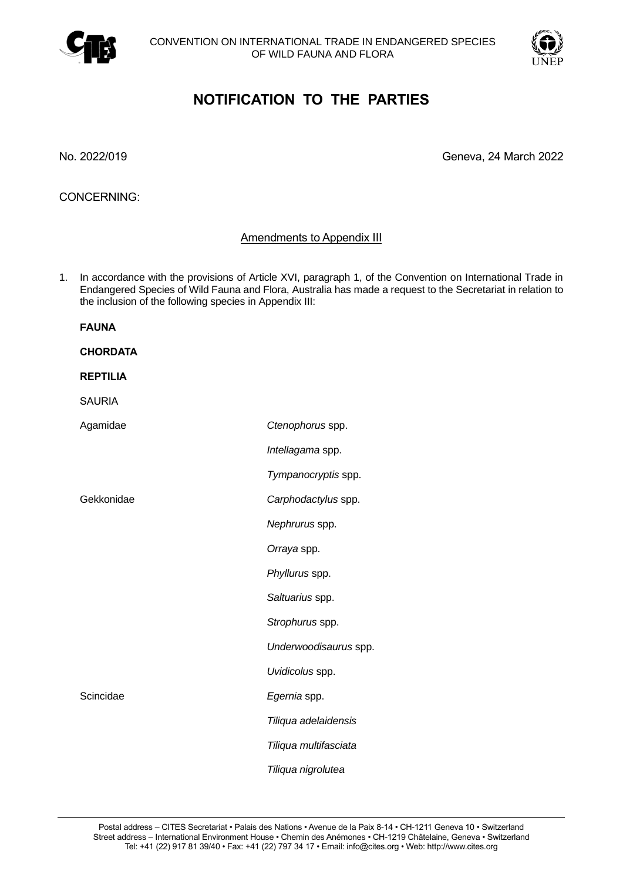



## **NOTIFICATION TO THE PARTIES**

No. 2022/019 Geneva, 24 March 2022

CONCERNING:

## Amendments to Appendix III

1. In accordance with the provisions of Article XVI, paragraph 1, of the Convention on International Trade in Endangered Species of Wild Fauna and Flora, Australia has made a request to the Secretariat in relation to the inclusion of the following species in Appendix III:

| <b>FAUNA</b>    |                       |
|-----------------|-----------------------|
| <b>CHORDATA</b> |                       |
| <b>REPTILIA</b> |                       |
| <b>SAURIA</b>   |                       |
| Agamidae        | Ctenophorus spp.      |
|                 | Intellagama spp.      |
|                 | Tympanocryptis spp.   |
| Gekkonidae      | Carphodactylus spp.   |
|                 | Nephrurus spp.        |
|                 | Orraya spp.           |
|                 | Phyllurus spp.        |
|                 | Saltuarius spp.       |
|                 | Strophurus spp.       |
|                 | Underwoodisaurus spp. |
|                 | Uvidicolus spp.       |
| Scincidae       | Egernia spp.          |
|                 | Tiliqua adelaidensis  |
|                 | Tiliqua multifasciata |
|                 | Tiliqua nigrolutea    |
|                 |                       |